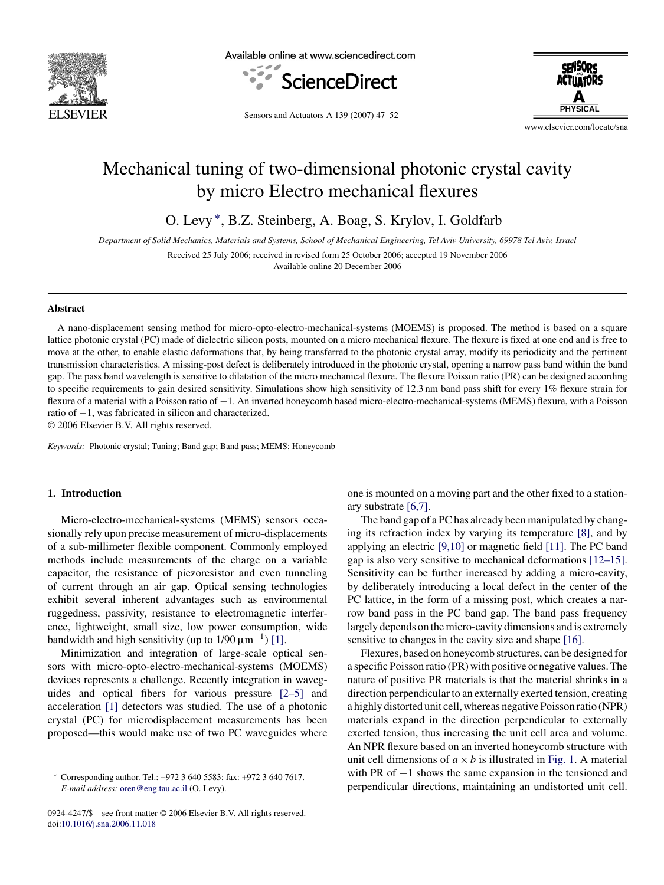

Available online at www.sciencedirect.com



**SENSORS ACTUATORS PHYSICAI** 

Sensors and Actuators A 139 (2007) 47–52

www.elsevier.com/locate/sna

# Mechanical tuning of two-dimensional photonic crystal cavity by micro Electro mechanical flexures

O. Levy ∗, B.Z. Steinberg, A. Boag, S. Krylov, I. Goldfarb

*Department of Solid Mechanics, Materials and Systems, School of Mechanical Engineering, Tel Aviv University, 69978 Tel Aviv, Israel*

Received 25 July 2006; received in revised form 25 October 2006; accepted 19 November 2006

Available online 20 December 2006

#### **Abstract**

A nano-displacement sensing method for micro-opto-electro-mechanical-systems (MOEMS) is proposed. The method is based on a square lattice photonic crystal (PC) made of dielectric silicon posts, mounted on a micro mechanical flexure. The flexure is fixed at one end and is free to move at the other, to enable elastic deformations that, by being transferred to the photonic crystal array, modify its periodicity and the pertinent transmission characteristics. A missing-post defect is deliberately introduced in the photonic crystal, opening a narrow pass band within the band gap. The pass band wavelength is sensitive to dilatation of the micro mechanical flexure. The flexure Poisson ratio (PR) can be designed according to specific requirements to gain desired sensitivity. Simulations show high sensitivity of 12.3 nm band pass shift for every 1% flexure strain for flexure of a material with a Poisson ratio of −1. An inverted honeycomb based micro-electro-mechanical-systems (MEMS) flexure, with a Poisson ratio of −1, was fabricated in silicon and characterized.

© 2006 Elsevier B.V. All rights reserved.

*Keywords:* Photonic crystal; Tuning; Band gap; Band pass; MEMS; Honeycomb

## **1. Introduction**

Micro-electro-mechanical-systems (MEMS) sensors occasionally rely upon precise measurement of micro-displacements of a sub-millimeter flexible component. Commonly employed methods include measurements of the charge on a variable capacitor, the resistance of piezoresistor and even tunneling of current through an air gap. Optical sensing technologies exhibit several inherent advantages such as environmental ruggedness, passivity, resistance to electromagnetic interference, lightweight, small size, low power consumption, wide bandwidth and high sensitivity (up to  $1/90 \,\mathrm{\mu m}^{-1}$ ) [\[1\].](#page-4-0)

Minimization and integration of large-scale optical sensors with micro-opto-electro-mechanical-systems (MOEMS) devices represents a challenge. Recently integration in waveguides and optical fibers for various pressure [\[2–5\]](#page-4-0) and acceleration [\[1\]](#page-4-0) detectors was studied. The use of a photonic crystal (PC) for microdisplacement measurements has been proposed—this would make use of two PC waveguides where

0924-4247/\$ – see front matter © 2006 Elsevier B.V. All rights reserved. doi[:10.1016/j.sna.2006.11.018](dx.doi.org/10.1016/j.sna.2006.11.018)

one is mounted on a moving part and the other fixed to a stationary substrate [\[6,7\].](#page-4-0)

The band gap of a PC has already been manipulated by changing its refraction index by varying its temperature [\[8\],](#page-4-0) and by applying an electric [\[9,10\]](#page-4-0) or magnetic field [\[11\]. T](#page-4-0)he PC band gap is also very sensitive to mechanical deformations [\[12–15\].](#page-4-0) Sensitivity can be further increased by adding a micro-cavity, by deliberately introducing a local defect in the center of the PC lattice, in the form of a missing post, which creates a narrow band pass in the PC band gap. The band pass frequency largely depends on the micro-cavity dimensions and is extremely sensitive to changes in the cavity size and shape [\[16\].](#page-4-0)

Flexures, based on honeycomb structures, can be designed for a specific Poisson ratio (PR) with positive or negative values. The nature of positive PR materials is that the material shrinks in a direction perpendicular to an externally exerted tension, creating a highly distorted unit cell, whereas negative Poisson ratio (NPR) materials expand in the direction perpendicular to externally exerted tension, thus increasing the unit cell area and volume. An NPR flexure based on an inverted honeycomb structure with unit cell dimensions of  $a \times b$  is illustrated in [Fig. 1.](#page-1-0) A material with PR of −1 shows the same expansion in the tensioned and perpendicular directions, maintaining an undistorted unit cell.

<sup>∗</sup> Corresponding author. Tel.: +972 3 640 5583; fax: +972 3 640 7617. *E-mail address:* [oren@eng.tau.ac.il](mailto:oren@eng.tau.ac.il) (O. Levy).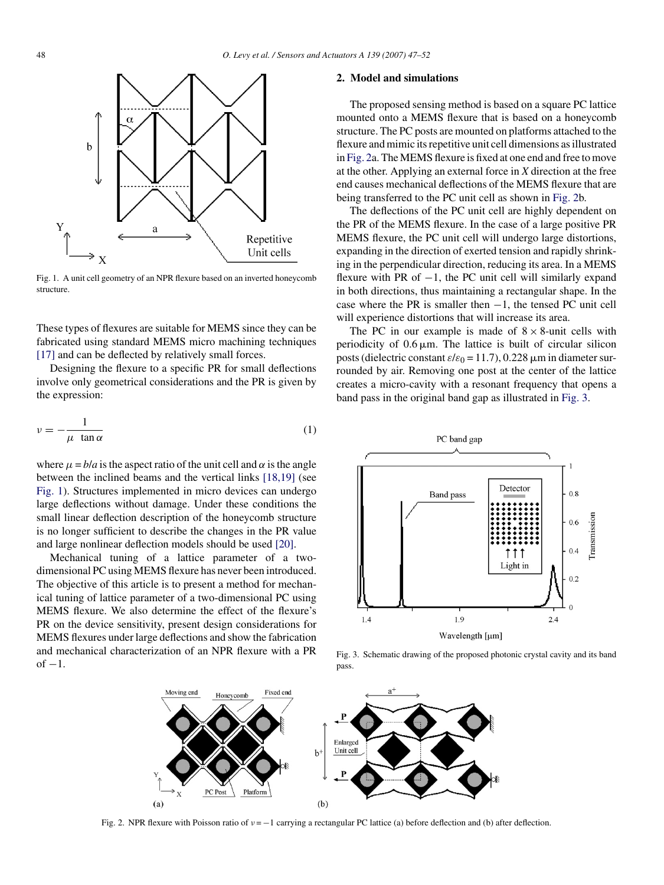<span id="page-1-0"></span>

Fig. 1. A unit cell geometry of an NPR flexure based on an inverted honeycomb structure.

These types of flexures are suitable for MEMS since they can be fabricated using standard MEMS micro machining techniques [\[17\]](#page-4-0) and can be deflected by relatively small forces.

Designing the flexure to a specific PR for small deflections involve only geometrical considerations and the PR is given by the expression:

$$
\nu = -\frac{1}{\mu \tan \alpha} \tag{1}
$$

where  $\mu = b/a$  is the aspect ratio of the unit cell and  $\alpha$  is the angle between the inclined beams and the vertical links [\[18,19\]](#page-4-0) (see Fig. 1). Structures implemented in micro devices can undergo large deflections without damage. Under these conditions the small linear deflection description of the honeycomb structure is no longer sufficient to describe the changes in the PR value and large nonlinear deflection models should be used [\[20\].](#page-4-0)

Mechanical tuning of a lattice parameter of a twodimensional PC using MEMS flexure has never been introduced. The objective of this article is to present a method for mechanical tuning of lattice parameter of a two-dimensional PC using MEMS flexure. We also determine the effect of the flexure's PR on the device sensitivity, present design considerations for MEMS flexures under large deflections and show the fabrication and mechanical characterization of an NPR flexure with a PR  $of -1$ .

## **2. Model and simulations**

The proposed sensing method is based on a square PC lattice mounted onto a MEMS flexure that is based on a honeycomb structure. The PC posts are mounted on platforms attached to the flexure and mimic its repetitive unit cell dimensions as illustrated in Fig. 2a. The MEMS flexure is fixed at one end and free to move at the other. Applying an external force in *X* direction at the free end causes mechanical deflections of the MEMS flexure that are being transferred to the PC unit cell as shown in Fig. 2b.

The deflections of the PC unit cell are highly dependent on the PR of the MEMS flexure. In the case of a large positive PR MEMS flexure, the PC unit cell will undergo large distortions, expanding in the direction of exerted tension and rapidly shrinking in the perpendicular direction, reducing its area. In a MEMS flexure with PR of  $-1$ , the PC unit cell will similarly expand in both directions, thus maintaining a rectangular shape. In the case where the PR is smaller then  $-1$ , the tensed PC unit cell will experience distortions that will increase its area.

The PC in our example is made of  $8 \times 8$ -unit cells with periodicity of  $0.6 \mu m$ . The lattice is built of circular silicon posts (dielectric constant  $\varepsilon/\varepsilon_0 = 11.7$ ), 0.228  $\mu$ m in diameter surrounded by air. Removing one post at the center of the lattice creates a micro-cavity with a resonant frequency that opens a band pass in the original band gap as illustrated in Fig. 3.



Fig. 3. Schematic drawing of the proposed photonic crystal cavity and its band pass.



Fig. 2. NPR flexure with Poisson ratio of  $v = -1$  carrying a rectangular PC lattice (a) before deflection and (b) after deflection.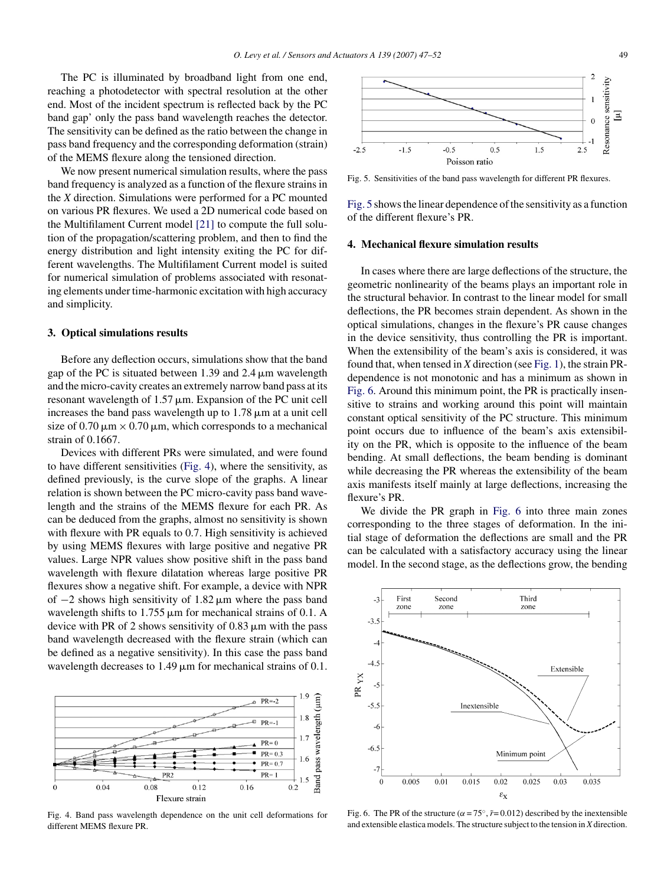The PC is illuminated by broadband light from one end, reaching a photodetector with spectral resolution at the other end. Most of the incident spectrum is reflected back by the PC band gap' only the pass band wavelength reaches the detector. The sensitivity can be defined as the ratio between the change in pass band frequency and the corresponding deformation (strain) of the MEMS flexure along the tensioned direction.

We now present numerical simulation results, where the pass band frequency is analyzed as a function of the flexure strains in the *X* direction. Simulations were performed for a PC mounted on various PR flexures. We used a 2D numerical code based on the Multifilament Current model [\[21\]](#page-4-0) to compute the full solution of the propagation/scattering problem, and then to find the energy distribution and light intensity exiting the PC for different wavelengths. The Multifilament Current model is suited for numerical simulation of problems associated with resonating elements under time-harmonic excitation with high accuracy and simplicity.

## **3. Optical simulations results**

Before any deflection occurs, simulations show that the band gap of the PC is situated between 1.39 and  $2.4 \mu m$  wavelength and the micro-cavity creates an extremely narrow band pass at its resonant wavelength of  $1.57 \mu m$ . Expansion of the PC unit cell increases the band pass wavelength up to  $1.78 \mu m$  at a unit cell size of  $0.70 \,\mathrm{\upmu m} \times 0.70 \,\mathrm{\upmu m}$ , which corresponds to a mechanical strain of 0.1667.

Devices with different PRs were simulated, and were found to have different sensitivities (Fig. 4), where the sensitivity, as defined previously, is the curve slope of the graphs. A linear relation is shown between the PC micro-cavity pass band wavelength and the strains of the MEMS flexure for each PR. As can be deduced from the graphs, almost no sensitivity is shown with flexure with PR equals to 0.7. High sensitivity is achieved by using MEMS flexures with large positive and negative PR values. Large NPR values show positive shift in the pass band wavelength with flexure dilatation whereas large positive PR flexures show a negative shift. For example, a device with NPR of  $-2$  shows high sensitivity of 1.82  $\mu$ m where the pass band wavelength shifts to  $1.755 \,\mu\text{m}$  for mechanical strains of 0.1. A device with PR of 2 shows sensitivity of  $0.83 \mu m$  with the pass band wavelength decreased with the flexure strain (which can be defined as a negative sensitivity). In this case the pass band wavelength decreases to  $1.49 \,\mu m$  for mechanical strains of 0.1.



Fig. 4. Band pass wavelength dependence on the unit cell deformations for different MEMS flexure PR.



Fig. 5. Sensitivities of the band pass wavelength for different PR flexures.

Fig. 5 shows the linear dependence of the sensitivity as a function of the different flexure's PR.

#### **4. Mechanical flexure simulation results**

In cases where there are large deflections of the structure, the geometric nonlinearity of the beams plays an important role in the structural behavior. In contrast to the linear model for small deflections, the PR becomes strain dependent. As shown in the optical simulations, changes in the flexure's PR cause changes in the device sensitivity, thus controlling the PR is important. When the extensibility of the beam's axis is considered, it was found that, when tensed in *X* direction (see [Fig. 1\),](#page-1-0) the strain PRdependence is not monotonic and has a minimum as shown in Fig. 6. Around this minimum point, the PR is practically insensitive to strains and working around this point will maintain constant optical sensitivity of the PC structure. This minimum point occurs due to influence of the beam's axis extensibility on the PR, which is opposite to the influence of the beam bending. At small deflections, the beam bending is dominant while decreasing the PR whereas the extensibility of the beam axis manifests itself mainly at large deflections, increasing the flexure's PR.

We divide the PR graph in Fig. 6 into three main zones corresponding to the three stages of deformation. In the initial stage of deformation the deflections are small and the PR can be calculated with a satisfactory accuracy using the linear model. In the second stage, as the deflections grow, the bending



Fig. 6. The PR of the structure ( $\alpha = 75^{\circ}$ ,  $\tilde{r} = 0.012$ ) described by the inextensible and extensible elastica models. The structure subject to the tension in *X* direction.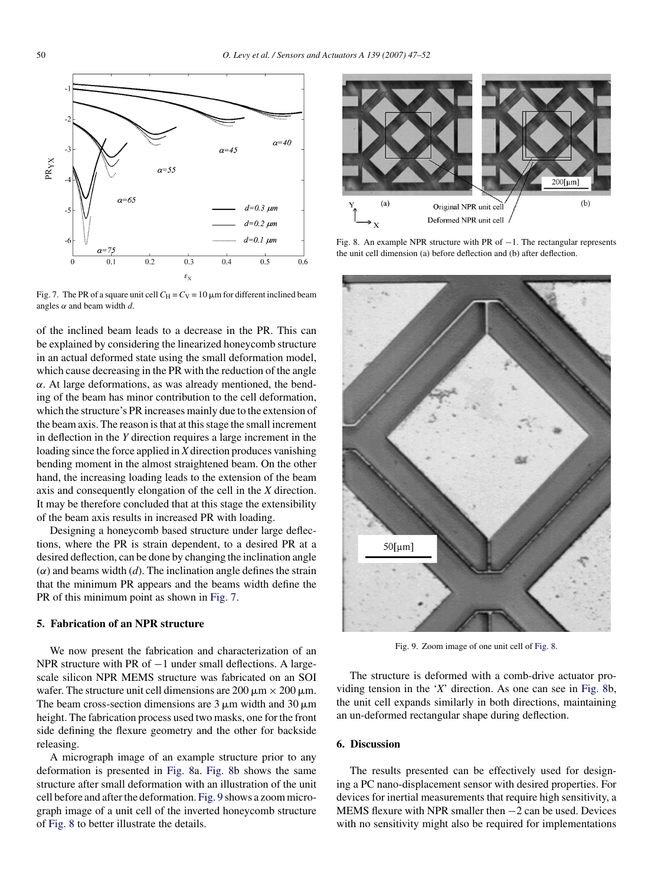

Fig. 7. The PR of a square unit cell  $C_H = C_V = 10 \mu m$  for different inclined beam angles  $\alpha$  and beam width  $d$ .

of the inclined beam leads to a decrease in the PR. This can be explained by considering the linearized honeycomb structure in an actual deformed state using the small deformation model, which cause decreasing in the PR with the reduction of the angle  $\alpha$ . At large deformations, as was already mentioned, the bending of the beam has minor contribution to the cell deformation, which the structure's PR increases mainly due to the extension of the beam axis. The reason is that at this stage the small increment in deflection in the *Y* direction requires a large increment in the loading since the force applied in *X* direction produces vanishing bending moment in the almost straightened beam. On the other hand, the increasing loading leads to the extension of the beam axis and consequently elongation of the cell in the *X* direction. It may be therefore concluded that at this stage the extensibility of the beam axis results in increased PR with loading.

Designing a honeycomb based structure under large deflections, where the PR is strain dependent, to a desired PR at a desired deflection, can be done by changing the inclination angle  $(\alpha)$  and beams width  $(d)$ . The inclination angle defines the strain that the minimum PR appears and the beams width define the PR of this minimum point as shown in Fig. 7.

## **5. Fabrication of an NPR structure**

We now present the fabrication and characterization of an NPR structure with PR of −1 under small deflections. A largescale silicon NPR MEMS structure was fabricated on an SOI wafer. The structure unit cell dimensions are  $200 \mu m \times 200 \mu m$ . The beam cross-section dimensions are  $3 \mu$ m width and  $30 \mu$ m height. The fabrication process used two masks, one for the front side defining the flexure geometry and the other for backside releasing.

A micrograph image of an example structure prior to any deformation is presented in Fig. 8a. Fig. 8b shows the same structure after small deformation with an illustration of the unit cell before and after the deformation. Fig. 9 shows a zoom micrograph image of a unit cell of the inverted honeycomb structure of Fig. 8 to better illustrate the details.



Fig. 8. An example NPR structure with PR of  $-1$ . The rectangular represents the unit cell dimension (a) before deflection and (b) after deflection.



Fig. 9. Zoom image of one unit cell of Fig. 8.

The structure is deformed with a comb-drive actuator providing tension in the '*X*' direction. As one can see in Fig. 8b, the unit cell expands similarly in both directions, maintaining an un-deformed rectangular shape during deflection.

## **6. Discussion**

The results presented can be effectively used for designing a PC nano-displacement sensor with desired properties. For devices for inertial measurements that require high sensitivity, a MEMS flexure with NPR smaller then −2 can be used. Devices with no sensitivity might also be required for implementations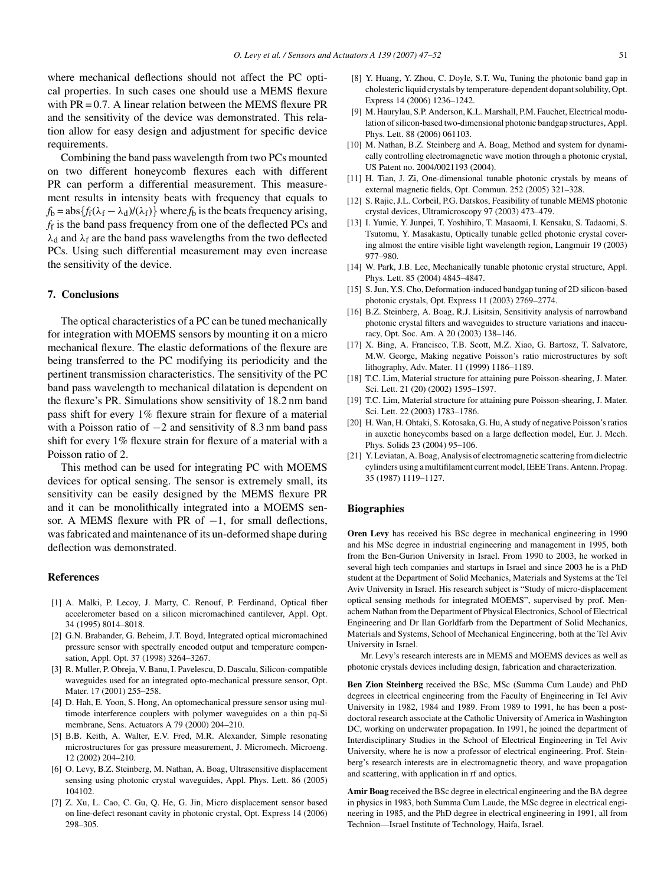<span id="page-4-0"></span>where mechanical deflections should not affect the PC optical properties. In such cases one should use a MEMS flexure with PR = 0.7. A linear relation between the MEMS flexure PR and the sensitivity of the device was demonstrated. This relation allow for easy design and adjustment for specific device requirements.

Combining the band pass wavelength from two PCs mounted on two different honeycomb flexures each with different PR can perform a differential measurement. This measurement results in intensity beats with frequency that equals to  $f_b = abs{f_f(\lambda_f - \lambda_d)/(\lambda_f)}$  where  $f_b$  is the beats frequency arising, *f*<sup>f</sup> is the band pass frequency from one of the deflected PCs and  $\lambda_d$  and  $\lambda_f$  are the band pass wavelengths from the two deflected PCs. Using such differential measurement may even increase the sensitivity of the device.

## **7. Conclusions**

The optical characteristics of a PC can be tuned mechanically for integration with MOEMS sensors by mounting it on a micro mechanical flexure. The elastic deformations of the flexure are being transferred to the PC modifying its periodicity and the pertinent transmission characteristics. The sensitivity of the PC band pass wavelength to mechanical dilatation is dependent on the flexure's PR. Simulations show sensitivity of 18.2 nm band pass shift for every 1% flexure strain for flexure of a material with a Poisson ratio of  $-2$  and sensitivity of 8.3 nm band pass shift for every 1% flexure strain for flexure of a material with a Poisson ratio of 2.

This method can be used for integrating PC with MOEMS devices for optical sensing. The sensor is extremely small, its sensitivity can be easily designed by the MEMS flexure PR and it can be monolithically integrated into a MOEMS sensor. A MEMS flexure with PR of −1, for small deflections, was fabricated and maintenance of its un-deformed shape during deflection was demonstrated.

#### **References**

- [1] A. Malki, P. Lecoy, J. Marty, C. Renouf, P. Ferdinand, Optical fiber accelerometer based on a silicon micromachined cantilever, Appl. Opt. 34 (1995) 8014–8018.
- [2] G.N. Brabander, G. Beheim, J.T. Boyd, Integrated optical micromachined pressure sensor with spectrally encoded output and temperature compensation, Appl. Opt. 37 (1998) 3264–3267.
- [3] R. Muller, P. Obreja, V. Banu, I. Pavelescu, D. Dascalu, Silicon-compatible waveguides used for an integrated opto-mechanical pressure sensor, Opt. Mater. 17 (2001) 255–258.
- [4] D. Hah, E. Yoon, S. Hong, An optomechanical pressure sensor using multimode interference couplers with polymer waveguides on a thin pq-Si membrane, Sens. Actuators A 79 (2000) 204–210.
- [5] B.B. Keith, A. Walter, E.V. Fred, M.R. Alexander, Simple resonating microstructures for gas pressure measurement, J. Micromech. Microeng. 12 (2002) 204–210.
- [6] O. Levy, B.Z. Steinberg, M. Nathan, A. Boag, Ultrasensitive displacement sensing using photonic crystal waveguides, Appl. Phys. Lett. 86 (2005) 104102.
- [7] Z. Xu, L. Cao, C. Gu, Q. He, G. Jin, Micro displacement sensor based on line-defect resonant cavity in photonic crystal, Opt. Express 14 (2006) 298–305.
- [8] Y. Huang, Y. Zhou, C. Doyle, S.T. Wu, Tuning the photonic band gap in cholesteric liquid crystals by temperature-dependent dopant solubility, Opt. Express 14 (2006) 1236–1242.
- [9] M. Haurylau, S.P. Anderson, K.L. Marshall, P.M. Fauchet, Electrical modulation of silicon-based two-dimensional photonic bandgap structures, Appl. Phys. Lett. 88 (2006) 061103.
- [10] M. Nathan, B.Z. Steinberg and A. Boag, Method and system for dynamically controlling electromagnetic wave motion through a photonic crystal, US Patent no. 2004/0021193 (2004).
- [11] H. Tian, J. Zi, One-dimensional tunable photonic crystals by means of external magnetic fields, Opt. Commun. 252 (2005) 321–328.
- [12] S. Rajic, J.L. Corbeil, P.G. Datskos, Feasibility of tunable MEMS photonic crystal devices, Ultramicroscopy 97 (2003) 473–479.
- [13] I. Yumie, Y. Junpei, T. Yoshihiro, T. Masaomi, I. Kensaku, S. Tadaomi, S. Tsutomu, Y. Masakastu, Optically tunable gelled photonic crystal covering almost the entire visible light wavelength region, Langmuir 19 (2003) 977–980.
- [14] W. Park, J.B. Lee, Mechanically tunable photonic crystal structure, Appl. Phys. Lett. 85 (2004) 4845–4847.
- [15] S. Jun, Y.S. Cho, Deformation-induced bandgap tuning of 2D silicon-based photonic crystals, Opt. Express 11 (2003) 2769–2774.
- [16] B.Z. Steinberg, A. Boag, R.J. Lisitsin, Sensitivity analysis of narrowband photonic crystal filters and waveguides to structure variations and inaccuracy, Opt. Soc. Am. A 20 (2003) 138–146.
- [17] X. Bing, A. Francisco, T.B. Scott, M.Z. Xiao, G. Bartosz, T. Salvatore, M.W. George, Making negative Poisson's ratio microstructures by soft lithography, Adv. Mater. 11 (1999) 1186–1189.
- [18] T.C. Lim, Material structure for attaining pure Poisson-shearing, J. Mater. Sci. Lett. 21 (20) (2002) 1595–1597.
- [19] T.C. Lim, Material structure for attaining pure Poisson-shearing, J. Mater. Sci. Lett. 22 (2003) 1783–1786.
- [20] H. Wan, H. Ohtaki, S. Kotosaka, G. Hu, A study of negative Poisson's ratios in auxetic honeycombs based on a large deflection model, Eur. J. Mech. Phys. Solids 23 (2004) 95–106.
- [21] Y. Leviatan, A. Boag, Analysis of electromagnetic scattering from dielectric cylinders using a multifilament current model, IEEE Trans. Antenn. Propag. 35 (1987) 1119–1127.

## **Biographies**

**Oren Levy** has received his BSc degree in mechanical engineering in 1990 and his MSc degree in industrial engineering and management in 1995, both from the Ben-Gurion University in Israel. From 1990 to 2003, he worked in several high tech companies and startups in Israel and since 2003 he is a PhD student at the Department of Solid Mechanics, Materials and Systems at the Tel Aviv University in Israel. His research subject is "Study of micro-displacement optical sensing methods for integrated MOEMS", supervised by prof. Menachem Nathan from the Department of Physical Electronics, School of Electrical Engineering and Dr Ilan Gorldfarb from the Department of Solid Mechanics, Materials and Systems, School of Mechanical Engineering, both at the Tel Aviv University in Israel.

Mr. Levy's research interests are in MEMS and MOEMS devices as well as photonic crystals devices including design, fabrication and characterization.

**Ben Zion Steinberg** received the BSc, MSc (Summa Cum Laude) and PhD degrees in electrical engineering from the Faculty of Engineering in Tel Aviv University in 1982, 1984 and 1989. From 1989 to 1991, he has been a postdoctoral research associate at the Catholic University of America in Washington DC, working on underwater propagation. In 1991, he joined the department of Interdisciplinary Studies in the School of Electrical Engineering in Tel Aviv University, where he is now a professor of electrical engineering. Prof. Steinberg's research interests are in electromagnetic theory, and wave propagation and scattering, with application in rf and optics.

**Amir Boag** received the BSc degree in electrical engineering and the BA degree in physics in 1983, both Summa Cum Laude, the MSc degree in electrical engineering in 1985, and the PhD degree in electrical engineering in 1991, all from Technion—Israel Institute of Technology, Haifa, Israel.